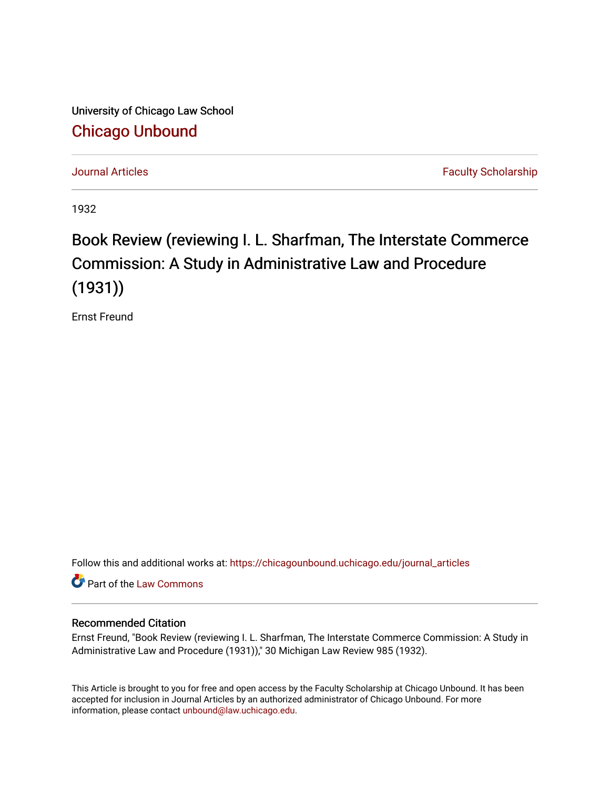University of Chicago Law School [Chicago Unbound](https://chicagounbound.uchicago.edu/)

[Journal Articles](https://chicagounbound.uchicago.edu/journal_articles) **Faculty Scholarship Journal Articles** 

1932

## Book Review (reviewing I. L. Sharfman, The Interstate Commerce Commission: A Study in Administrative Law and Procedure (1931))

Ernst Freund

Follow this and additional works at: [https://chicagounbound.uchicago.edu/journal\\_articles](https://chicagounbound.uchicago.edu/journal_articles?utm_source=chicagounbound.uchicago.edu%2Fjournal_articles%2F7795&utm_medium=PDF&utm_campaign=PDFCoverPages) 

Part of the [Law Commons](http://network.bepress.com/hgg/discipline/578?utm_source=chicagounbound.uchicago.edu%2Fjournal_articles%2F7795&utm_medium=PDF&utm_campaign=PDFCoverPages)

## Recommended Citation

Ernst Freund, "Book Review (reviewing I. L. Sharfman, The Interstate Commerce Commission: A Study in Administrative Law and Procedure (1931))," 30 Michigan Law Review 985 (1932).

This Article is brought to you for free and open access by the Faculty Scholarship at Chicago Unbound. It has been accepted for inclusion in Journal Articles by an authorized administrator of Chicago Unbound. For more information, please contact [unbound@law.uchicago.edu](mailto:unbound@law.uchicago.edu).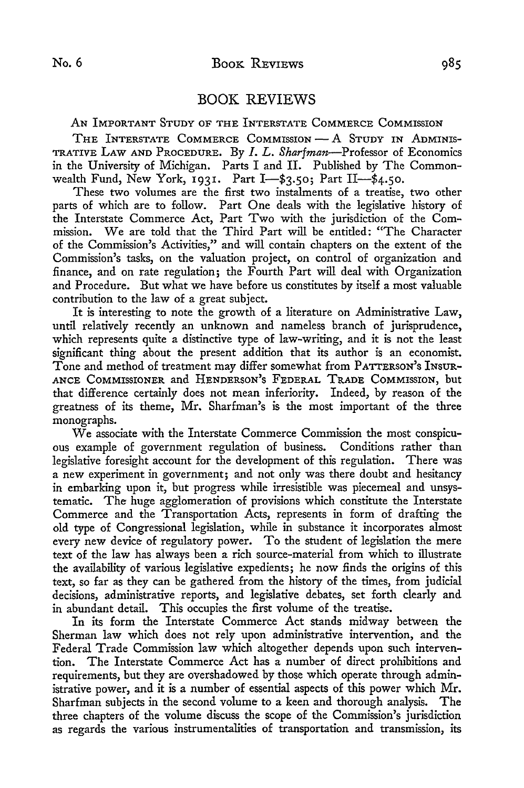## BOOK REVIEWS

**AN** IMPORTANT **STUDY** OF THE INTERSTATE COMMERCE COMMISSION

THE INTERSTATE COMMERCE COMMISSION **-A STUDY** IN ADMINIS-**TRATIVE LAW AND PROCEDURE. By** *I. L. Sharfman-Professor* of Economics in the University of Michigan. Parts I and **II.** Published **by** The Commonwealth Fund, New York, **1931.** Part **I-\$3.5o;** Part **II-\$4.50.**

These two volumes are the first two instalments of a treatise, two other parts of which are to follow. Part One deals with the legislative history of the Interstate Commerce Act, Part Two with the jurisdiction of the Commission. We are told that the Third Part will be entitled: "The Character of the Commission's Activities," and will contain chapters on the extent of the Commission's tasks, on the valuation project, on control of organization and finance, and on rate regulation; the Fourth Part will deal with Organization and Procedure. But what we have before us constitutes by itself a most valuable contribution to the law of a great subject.

It is interesting to note the growth of a literature on Administrative Law, until relatively recently an unknown and nameless branch of jurisprudence, which represents quite a distinctive type of law-writing, and it is not the least significant thing about the present addition that its author is an economist. Tone and method of treatment may differ somewhat from PATTERSON'S INSUR-**ANCE COMMISSIONER** and HENDERSON'S FEDERAL TADE COMMISSION, but that difference certainly does not mean inferiority. Indeed, by reason of the greatness of its theme, Mr. Sharfman's is the most important of the three monographs.

We associate with the Interstate Commerce Commission the most conspicuous example of government regulation of business. Conditions rather than legislative foresight account for the development of this regulation. There was a new experiment in government; and not only was there doubt and hesitancy in embarking upon it, but progress while irresistible was piecemeal and unsystematic. The huge agglomeration of provisions which constitute the Interstate Commerce and the Transportation Acts, represents in form of drafting the old type of Congressional legislation, while in substance it incorporates almost every new device of regulatory power. To the student of legislation the mere text of the law has always been a rich source-material from which to illustrate the availability of various legislative expedients; he now finds the origins of this text, so far as they can be gathered from the history of the times, from judicial decisions, administrative reports, and legislative debates, set forth clearly and in abundant detail. This occupies the first volume of the treatise.

In its form the Interstate Commerce Act stands midway between the Sherman law which does not rely upon administrative intervention, and the Federal Trade Commission law which altogether depends upon such intervention. The Interstate Commerce Act has a number of direct prohibitions and requirements, but they are overshadowed by those which operate through administrative power, and it is a number of essential aspects of this power which Mr. Sharfman subjects in the second volume to a keen and thorough analysis. The three chapters of the volume discuss the scope of the Commission's jurisdiction as regards the various instrumentalities of transportation and transmission, its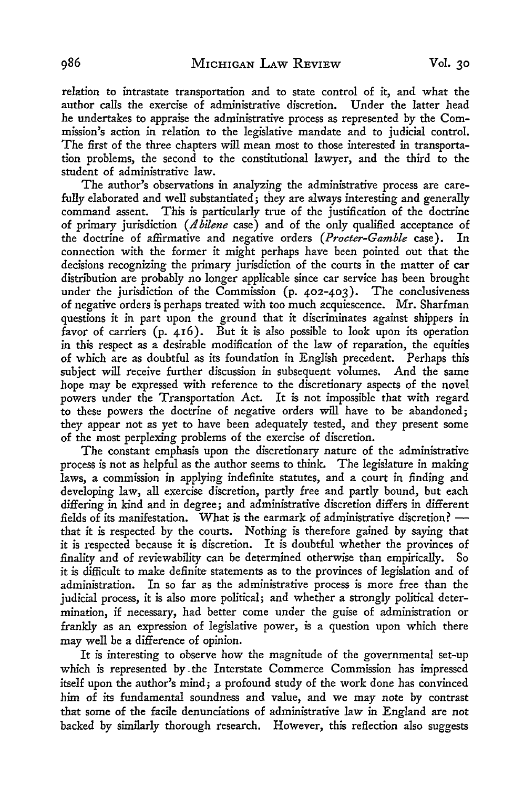relation to intrastate transportation and to state control of it, and what the author calls the exercise of administrative discretion. Under the latter head he undertakes to appraise the administrative process as represented by the Commission's action in relation to the legislative mandate and to judicial control. The first of the three chapters will mean most to those interested in transportation problems, the second to the constitutional lawyer, and the third to the student of administrative law.

The author's observations in analyzing the administrative process are carefully elaborated and well substantiated; they are always interesting and generally command assent. This is particularly true of the justification of the doctrine of primary jurisdiction *(A4bilene* case) and of the only qualified acceptance of the doctrine of affirmative and negative orders *(Procter-Gamble* case). In connection with the former it might perhaps have been pointed out that the decisions recognizing the primary jurisdiction of the courts in the matter of car distribution are probably no longer applicable since car service has been brought under the jurisdiction of the Commission (p. 402-403). The conclusiveness of negative orders is perhaps treated with too much acquiescence. Mr. Sharfman questions it in part upon the ground that it discriminates against shippers in favor of carriers (p. 416). But it is also possible to look upon its operation in this respect as a desirable modification of the law of reparation, the equities of which are as doubtful as its foundation in English precedent. Perhaps this subject will receive further discussion in subsequent volumes. And the same hope may be expressed with reference to the discretionary aspects of the novel powers under the Transportation Act. It is not impossible that with regard to these powers the doctrine of negative orders will have to be abandoned; they appear not as yet to have been adequately tested, and they present some of the most perplexing problems of the exercise of discretion.

The constant emphasis upon the discretionary nature of the administrative process is not as helpful as the author seems to think. The legislature in making laws, a commission in applying indefinite statutes, and a court in finding and developing law, all exercise discretion, partly free and partly bound, but each differing in kind and in degree; and administrative discretion differs in different fields of its manifestation. What is the earmark of administrative discretion?  that it is respected by the courts. Nothing is therefore gained by saying that it is respected because it is discretion. It is doubtful whether the provinces of finality and of reviewability can be determined otherwise than empirically. So it is difficult to make definite statements as to the provinces of legislation and of administration. In so far as the administrative process is more free than the judicial process, it is also more political; and whether a strongly political determination, if necessary, had better come under the guise of administration or frankly as an expression of legislative power, is a question upon which there may well be a difference of opinion.

It is interesting to observe how the magnitude of the governmental set-up which is represented by-the Interstate Commerce Commission has impressed itself upon the author's mind; a profound study of the work done has convinced him of its fundamental soundness and value, and we may note by contrast that some of the facile denunciations of administrative law in England are not backed by similarly thorough research. However, this reflection also suggests